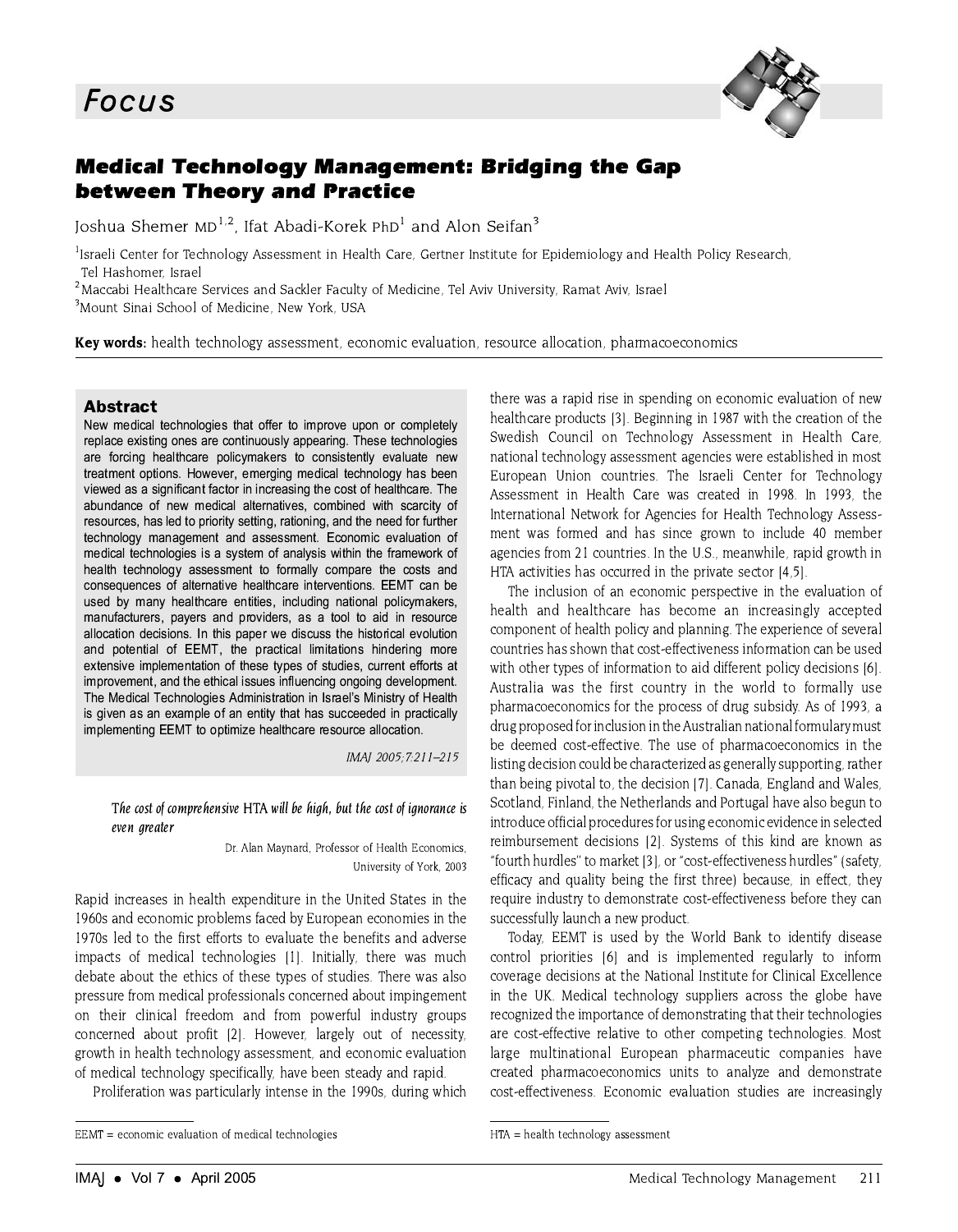

# **Medical Technology Management: Bridging the Gap between Theory and Practice**

Joshua Shemer MD<sup>1,2</sup>. Ifat Abadi-Korek PhD<sup>1</sup> and Alon Seifan<sup>3</sup>

<sup>1</sup>Israeli Center for Technology Assessment in Health Care, Gertner Institute for Epidemiology and Health Policy Research, Tel Hashomer Israel

<sup>2</sup> Maccabi Healthcare Services and Sackler Faculty of Medicine, Tel Aviv University, Ramat Aviv, Israel <sup>3</sup>Mount Sinai School of Medicine, New York, USA

Key words: health technology assessment, economic evaluation, resource allocation, pharmacoeconomics

#### **Abstract**

New medical technologies that offer to improve upon or completely replace existing ones are continuously appearing. These technologies are forcing healthcare policymakers to consistently evaluate new treatment options. However, emerging medical technology has been viewed as a significant factor in increasing the cost of healthcare. The abundance of new medical alternatives, combined with scarcity of resources, has led to priority setting, rationing, and the need for further technology management and assessment. Economic evaluation of medical technologies is a system of analysis within the framework of health technology assessment to formally compare the costs and consequences of alternative healthcare interventions. EEMT can be used by many healthcare entities, including national policymakers, manufacturers, payers and providers, as a tool to aid in resource allocation decisions. In this paper we discuss the historical evolution and potential of EEMT, the practical limitations hindering more extensive implementation of these types of studies, current efforts at improvement, and the ethical issues influencing ongoing development. The Medical Technologies Administration in Israel's Ministry of Health is given as an example of an entity that has succeeded in practically implementing EEMT to optimize healthcare resource allocation.

IMAJ 2005; 7:211-215

The cost of comprehensive HTA will be high, but the cost of ignorance is even greater

> Dr. Alan Maynard, Professor of Health Economics. University of York, 2003

Rapid increases in health expenditure in the United States in the 1960s and economic problems faced by European economies in the 1970s led to the first efforts to evaluate the benefits and adverse impacts of medical technologies [1]. Initially, there was much debate about the ethics of these types of studies. There was also pressure from medical professionals concerned about impingement on their clinical freedom and from powerful industry groups concerned about profit [2]. However, largely out of necessity. growth in health technology assessment, and economic evaluation of medical technology specifically, have been steady and rapid.

Proliferation was particularly intense in the 1990s, during which

there was a rapid rise in spending on economic evaluation of new healthcare products [3]. Beginning in 1987 with the creation of the Swedish Council on Technology Assessment in Health Care, national technology assessment agencies were established in most European Union countries. The Israeli Center for Technology Assessment in Health Care was created in 1998. In 1993, the International Network for Agencies for Health Technology Assessment was formed and has since grown to include 40 member agencies from 21 countries. In the U.S., meanwhile, rapid growth in HTA activities has occurred in the private sector [4,5].

The inclusion of an economic perspective in the evaluation of health and healthcare has become an increasingly accepted component of health policy and planning. The experience of several countries has shown that cost-effectiveness information can be used with other types of information to aid different policy decisions [6]. Australia was the first country in the world to formally use pharmacoeconomics for the process of drug subsidy. As of 1993, a drug proposed for inclusion in the Australian national formulary must be deemed cost-effective. The use of pharmacoeconomics in the listing decision could be characterized as generally supporting, rather than being pivotal to, the decision [7]. Canada, England and Wales, Scotland, Finland, the Netherlands and Portugal have also begun to introduce official procedures for using economic evidence in selected reimbursement decisions [2]. Systems of this kind are known as "fourth hurdles" to market [3], or "cost-effectiveness hurdles" (safety, efficacy and quality being the first three) because, in effect, they require industry to demonstrate cost-effectiveness before they can successfully launch a new product.

Today, EEMT is used by the World Bank to identify disease control priorities [6] and is implemented regularly to inform coverage decisions at the National Institute for Clinical Excellence in the UK. Medical technology suppliers across the globe have recognized the importance of demonstrating that their technologies are cost-effective relative to other competing technologies. Most large multinational European pharmaceutic companies have created pharmacoeconomics units to analyze and demonstrate cost-effectiveness. Economic evaluation studies are increasingly

EEMT = economic evaluation of medical technologies

HTA = health technology assessment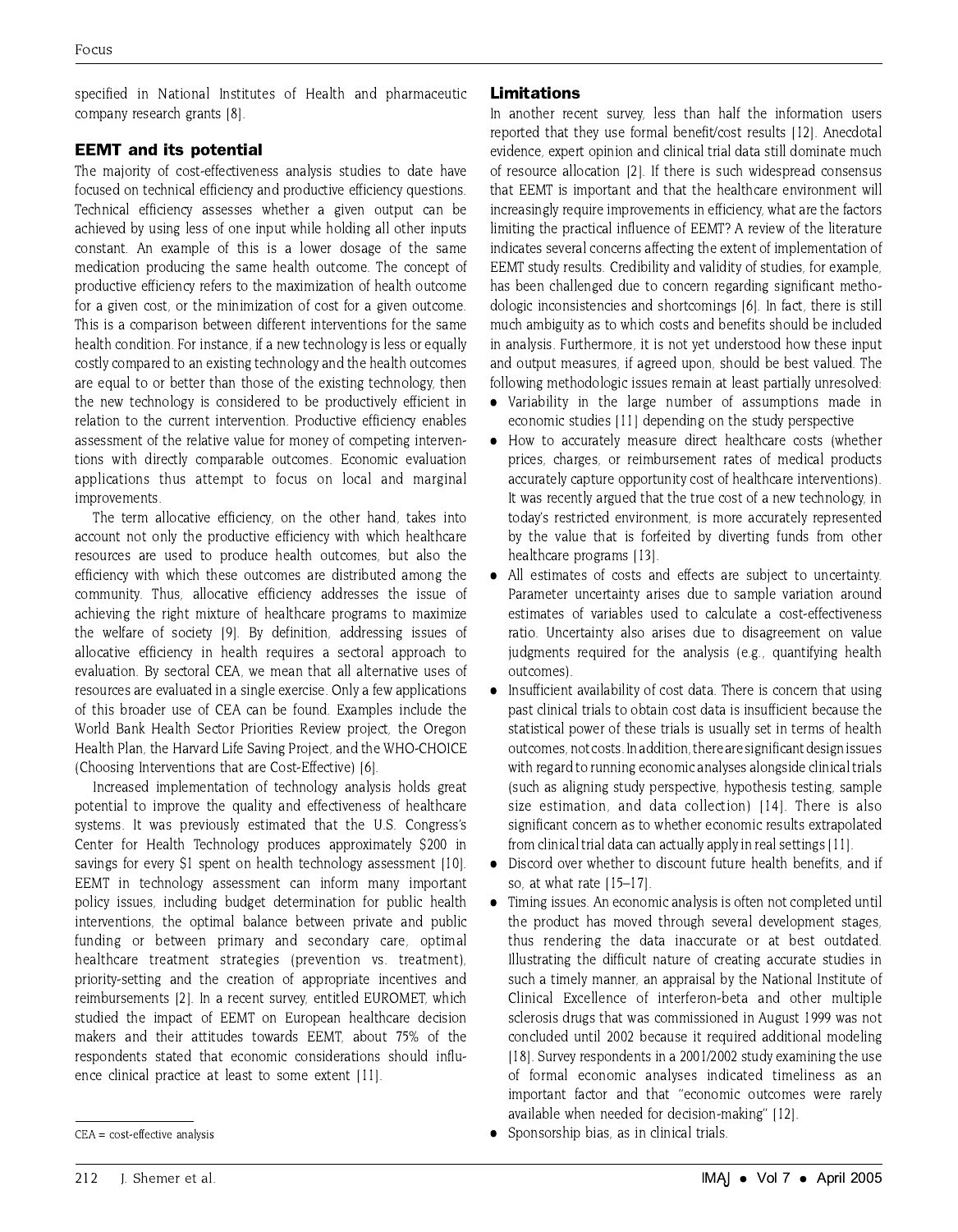specified in National Institutes of Health and pharmaceutic company research grants [8].

### **EEMT** and its potential

The majority of cost-effectiveness analysis studies to date have focused on technical efficiency and productive efficiency questions. Technical efficiency assesses whether a given output can be achieved by using less of one input while holding all other inputs constant. An example of this is a lower dosage of the same medication producing the same health outcome. The concept of productive efficiency refers to the maximization of health outcome for a given cost, or the minimization of cost for a given outcome. This is a comparison between different interventions for the same health condition. For instance, if a new technology is less or equally costly compared to an existing technology and the health outcomes are equal to or better than those of the existing technology, then the new technology is considered to be productively efficient in relation to the current intervention. Productive efficiency enables assessment of the relative value for money of competing interventions with directly comparable outcomes. Economic evaluation applications thus attempt to focus on local and marginal improvements.

The term allocative efficiency, on the other hand, takes into account not only the productive efficiency with which healthcare resources are used to produce health outcomes, but also the efficiency with which these outcomes are distributed among the community. Thus, allocative efficiency addresses the issue of achieving the right mixture of healthcare programs to maximize the welfare of society [9]. By definition, addressing issues of allocative efficiency in health requires a sectoral approach to evaluation. By sectoral CEA, we mean that all alternative uses of resources are evaluated in a single exercise. Only a few applications of this broader use of CEA can be found. Examples include the World Bank Health Sector Priorities Review project, the Oregon Health Plan, the Harvard Life Saving Project, and the WHO-CHOICE (Choosing Interventions that are Cost-Effective) [6].

Increased implementation of technology analysis holds great potential to improve the quality and effectiveness of healthcare systems. It was previously estimated that the U.S. Congress's Center for Health Technology produces approximately \$200 in savings for every \$1 spent on health technology assessment [10]. EEMT in technology assessment can inform many important policy issues, including budget determination for public health interventions, the optimal balance between private and public funding or between primary and secondary care, optimal healthcare treatment strategies (prevention vs. treatment), priority-setting and the creation of appropriate incentives and reimbursements [2]. In a recent survey, entitled EUROMET, which studied the impact of EEMT on European healthcare decision makers and their attitudes towards EEMT, about 75% of the respondents stated that economic considerations should influence clinical practice at least to some extent [11].

In another recent survey, less than half the information users reported that they use formal benefit/cost results [12]. Anecdotal evidence, expert opinion and clinical trial data still dominate much of resource allocation [2]. If there is such widespread consensus that EEMT is important and that the healthcare environment will increasingly require improvements in efficiency, what are the factors limiting the practical influence of EEMT? A review of the literature indicates several concerns affecting the extent of implementation of EEMT study results. Credibility and validity of studies, for example, has been challenged due to concern regarding significant methodologic inconsistencies and shortcomings [6]. In fact, there is still much ambiguity as to which costs and benefits should be included in analysis. Furthermore, it is not vet understood how these input and output measures, if agreed upon, should be best valued. The following methodologic issues remain at least partially unresolved.

- Variability in the large number of assumptions made in economic studies [11] depending on the study perspective
- How to accurately measure direct healthcare costs (whether  $\bullet$ prices, charges, or reimbursement rates of medical products accurately capture opportunity cost of healthcare interventions). It was recently argued that the true cost of a new technology, in today's restricted environment, is more accurately represented by the value that is forfeited by diverting funds from other healthcare programs [13].
- All estimates of costs and effects are subject to uncertainty.  $\bullet$ Parameter uncertainty arises due to sample variation around estimates of variables used to calculate a cost-effectiveness ratio. Uncertainty also arises due to disagreement on value judgments required for the analysis (e.g., quantifying health outcomes).
- Insufficient availability of cost data. There is concern that using  $\bullet$ past clinical trials to obtain cost data is insufficient because the statistical power of these trials is usually set in terms of health outcomes, not costs. In addition, there are significant design issues with regard to running economic analyses alongside clinical trials (such as aligning study perspective, hypothesis testing, sample size estimation, and data collection) [14]. There is also significant concern as to whether economic results extrapolated from clinical trial data can actually apply in real settings [11].
- Discord over whether to discount future health benefits, and if so, at what rate [15-17].
- Timing issues. An economic analysis is often not completed until  $\bullet$ the product has moved through several development stages, thus rendering the data inaccurate or at best outdated. Illustrating the difficult nature of creating accurate studies in such a timely manner, an appraisal by the National Institute of Clinical Excellence of interferon-beta and other multiple sclerosis drugs that was commissioned in August 1999 was not concluded until 2002 because it required additional modeling [18]. Survey respondents in a 2001/2002 study examining the use of formal economic analyses indicated timeliness as an important factor and that "economic outcomes were rarely available when needed for decision-making" [12].
- Sponsorship bias, as in clinical trials.

**Limitations** 

 $CEA = cost\text{-effective analysis}$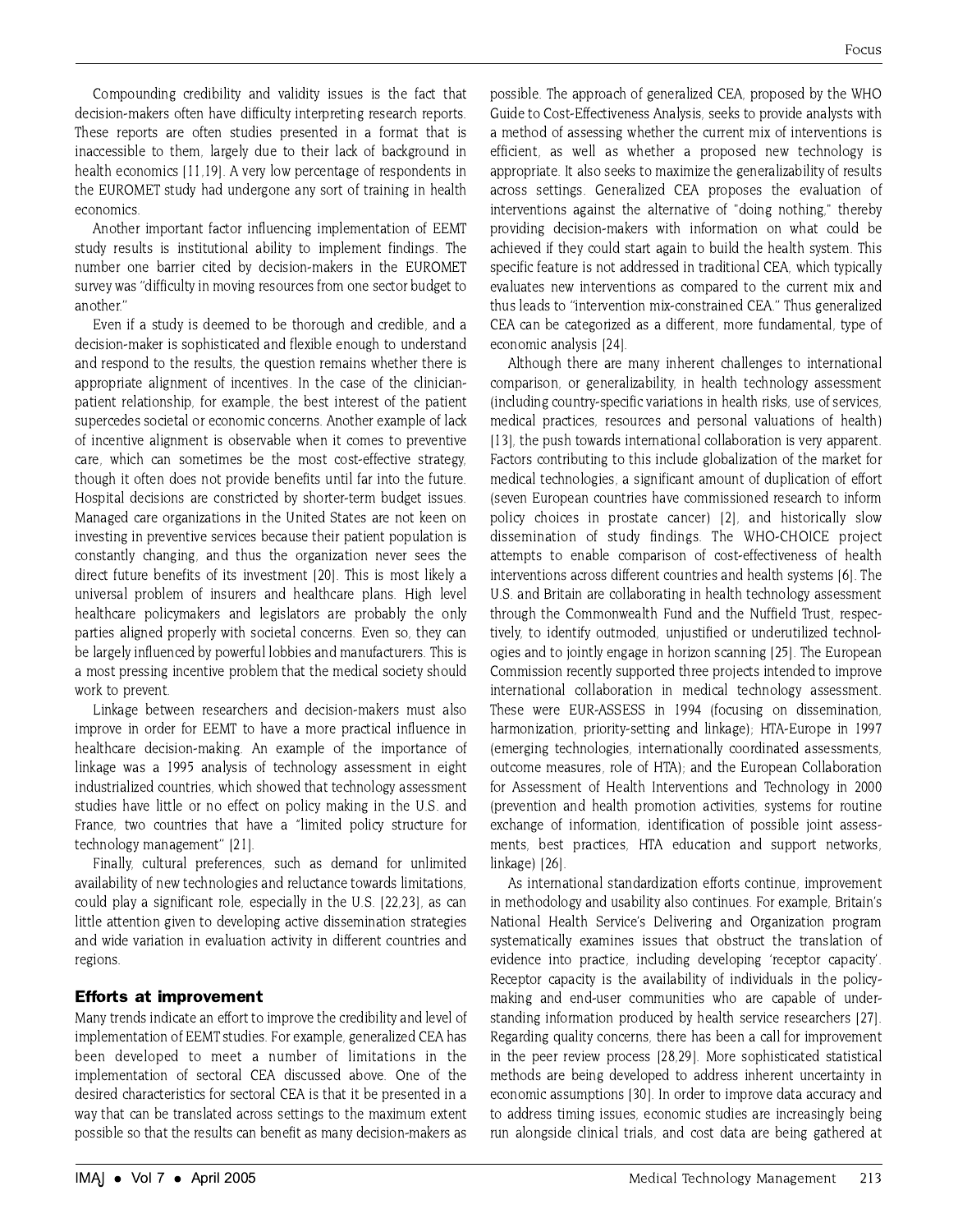Compounding credibility and validity issues is the fact that decision-makers often have difficulty interpreting research reports. These reports are often studies presented in a format that is inaccessible to them, largely due to their lack of background in health economics [11,19]. A very low percentage of respondents in the EUROMET study had undergone any sort of training in health economics.

Another important factor influencing implementation of EEMT study results is institutional ability to implement findings. The number one barrier cited by decision-makers in the EUROMET survey was "difficulty in moving resources from one sector budget to another."

Even if a study is deemed to be thorough and credible, and a decision-maker is sophisticated and flexible enough to understand and respond to the results, the question remains whether there is appropriate alignment of incentives. In the case of the clinicianpatient relationship, for example, the best interest of the patient supercedes societal or economic concerns. Another example of lack of incentive alignment is observable when it comes to preventive care, which can sometimes be the most cost-effective strategy, though it often does not provide benefits until far into the future. Hospital decisions are constricted by shorter-term budget issues. Managed care organizations in the United States are not keen on investing in preventive services because their patient population is constantly changing, and thus the organization never sees the direct future benefits of its investment [20]. This is most likely a universal problem of insurers and healthcare plans. High level healthcare policymakers and legislators are probably the only parties aligned properly with societal concerns. Even so, they can be largely influenced by powerful lobbies and manufacturers. This is a most pressing incentive problem that the medical society should work to prevent.

Linkage between researchers and decision-makers must also improve in order for EEMT to have a more practical influence in healthcare decision-making. An example of the importance of linkage was a 1995 analysis of technology assessment in eight industrialized countries, which showed that technology assessment studies have little or no effect on policy making in the U.S. and France, two countries that have a "limited policy structure for technology management" [21].

Finally, cultural preferences, such as demand for unlimited availability of new technologies and reluctance towards limitations. could play a significant role, especially in the U.S. [22,23], as can little attention given to developing active dissemination strategies and wide variation in evaluation activity in different countries and regions.

#### **Efforts at improvement**

Many trends indicate an effort to improve the credibility and level of implementation of EEMT studies. For example, generalized CEA has been developed to meet a number of limitations in the implementation of sectoral CEA discussed above. One of the desired characteristics for sectoral CEA is that it be presented in a way that can be translated across settings to the maximum extent possible so that the results can benefit as many decision-makers as possible. The approach of generalized CEA, proposed by the WHO Guide to Cost-Effectiveness Analysis, seeks to provide analysts with a method of assessing whether the current mix of interventions is efficient, as well as whether a proposed new technology is appropriate. It also seeks to maximize the generalizability of results across settings. Generalized CEA proposes the evaluation of interventions against the alternative of "doing nothing," thereby providing decision-makers with information on what could be achieved if they could start again to build the health system. This specific feature is not addressed in traditional CEA, which typically evaluates new interventions as compared to the current mix and thus leads to "intervention mix-constrained CEA." Thus generalized CEA can be categorized as a different, more fundamental, type of economic analysis [24].

Although there are many inherent challenges to international comparison, or generalizability, in health technology assessment (including country-specific variations in health risks, use of services, medical practices, resources and personal valuations of health) [13], the push towards international collaboration is very apparent. Factors contributing to this include globalization of the market for medical technologies, a significant amount of duplication of effort (seven European countries have commissioned research to inform policy choices in prostate cancer) [2], and historically slow dissemination of study findings. The WHO-CHOICE project attempts to enable comparison of cost-effectiveness of health interventions across different countries and health systems [6]. The U.S. and Britain are collaborating in health technology assessment through the Commonwealth Fund and the Nuffield Trust, respectively, to identify outmoded, unjustified or underutilized technologies and to jointly engage in horizon scanning [25]. The European Commission recently supported three projects intended to improve international collaboration in medical technology assessment. These were EUR-ASSESS in 1994 (focusing on dissemination. harmonization, priority-setting and linkage); HTA-Europe in 1997 (emerging technologies, internationally coordinated assessments, outcome measures, role of HTA); and the European Collaboration for Assessment of Health Interventions and Technology in 2000 (prevention and health promotion activities, systems for routine exchange of information, identification of possible joint assessments, best practices, HTA education and support networks, linkage) [26].

As international standardization efforts continue, improvement in methodology and usability also continues. For example, Britain's National Health Service's Delivering and Organization program systematically examines issues that obstruct the translation of evidence into practice, including developing 'receptor capacity'. Receptor capacity is the availability of individuals in the policymaking and end-user communities who are capable of understanding information produced by health service researchers [27]. Regarding quality concerns, there has been a call for improvement in the peer review process [28,29]. More sophisticated statistical methods are being developed to address inherent uncertainty in economic assumptions [30]. In order to improve data accuracy and to address timing issues, economic studies are increasingly being run alongside clinical trials, and cost data are being gathered at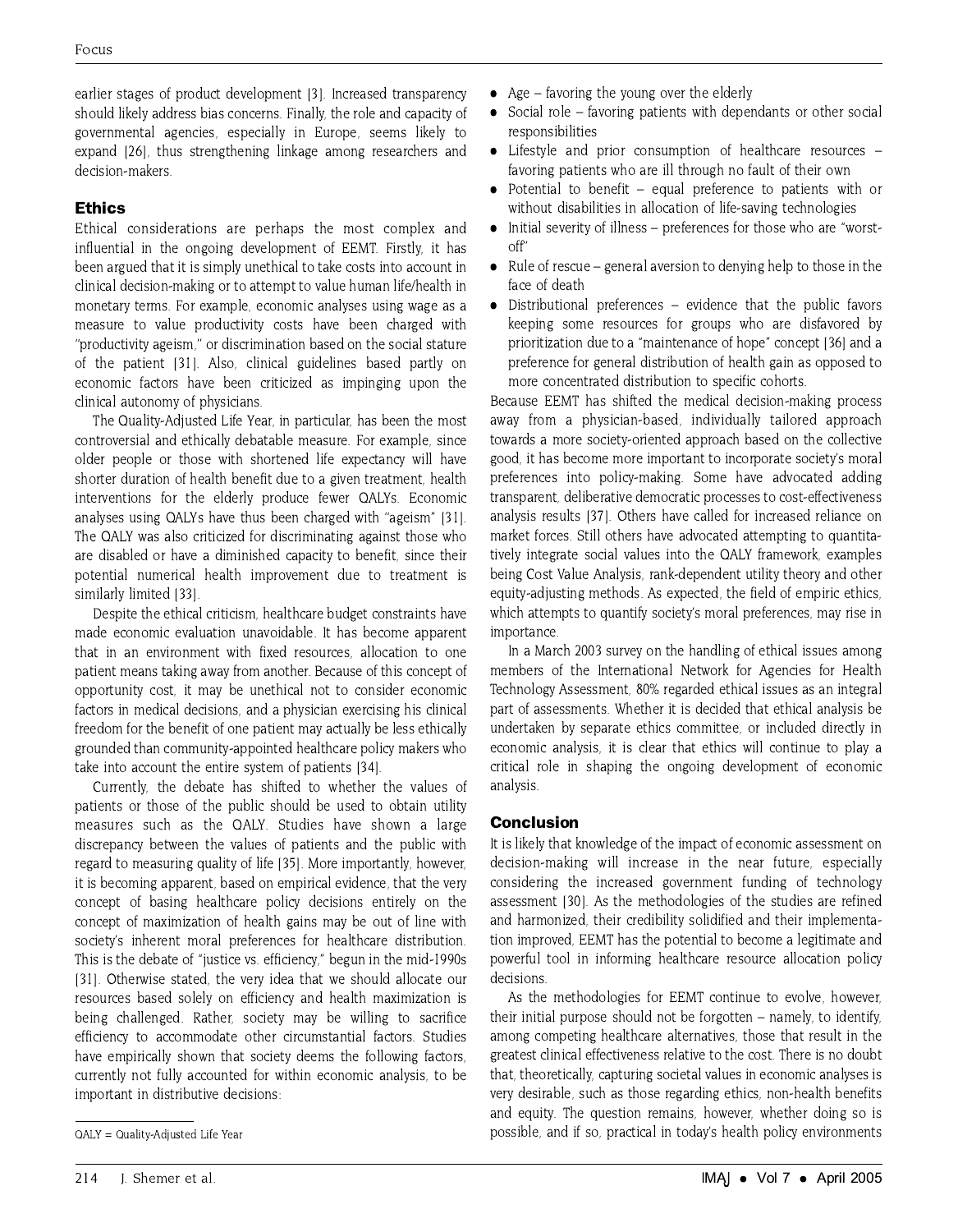earlier stages of product development [3]. Increased transparency should likely address bias concerns. Finally, the role and capacity of governmental agencies, especially in Europe, seems likely to expand [26], thus strengthening linkage among researchers and decision-makers.

## **Ethics**

Ethical considerations are perhaps the most complex and influential in the ongoing development of EEMT. Firstly, it has been argued that it is simply unethical to take costs into account in clinical decision-making or to attempt to value human life/health in monetary terms. For example, economic analyses using wage as a measure to value productivity costs have been charged with "productivity ageism." or discrimination based on the social stature of the patient [31]. Also, clinical guidelines based partly on economic factors have been criticized as impinging upon the clinical autonomy of physicians.

The Quality-Adjusted Life Year, in particular, has been the most controversial and ethically debatable measure. For example, since older people or those with shortened life expectancy will have shorter duration of health benefit due to a given treatment, health interventions for the elderly produce fewer QALYs. Economic analyses using QALYs have thus been charged with "ageism" [31]. The QALY was also criticized for discriminating against those who are disabled or have a diminished capacity to benefit, since their potential numerical health improvement due to treatment is similarly limited [33].

Despite the ethical criticism, healthcare budget constraints have made economic evaluation unavoidable. It has become apparent that in an environment with fixed resources, allocation to one patient means taking away from another. Because of this concept of opportunity cost, it may be unethical not to consider economic factors in medical decisions, and a physician exercising his clinical freedom for the benefit of one patient may actually be less ethically grounded than community-appointed healthcare policy makers who take into account the entire system of patients [34].

Currently, the debate has shifted to whether the values of patients or those of the public should be used to obtain utility measures such as the QALY. Studies have shown a large discrepancy between the values of patients and the public with regard to measuring quality of life [35]. More importantly, however, it is becoming apparent, based on empirical evidence, that the very concept of basing healthcare policy decisions entirely on the concept of maximization of health gains may be out of line with society's inherent moral preferences for healthcare distribution. This is the debate of "justice vs. efficiency," begun in the mid-1990s [31]. Otherwise stated, the very idea that we should allocate our resources based solely on efficiency and health maximization is being challenged. Rather, society may be willing to sacrifice efficiency to accommodate other circumstantial factors. Studies have empirically shown that society deems the following factors, currently not fully accounted for within economic analysis, to be important in distributive decisions:

- Age  $-$  favoring the young over the elderly
- Social role favoring patients with dependants or other social responsibilities
- Lifestyle and prior consumption of healthcare resources favoring patients who are ill through no fault of their own
- Potential to benefit equal preference to patients with or without disabilities in allocation of life-saving technologies
- Initial severity of illness preferences for those who are "worstoff"
- Rule of rescue general aversion to denying help to those in the face of death
- Distributional preferences evidence that the public favors keeping some resources for groups who are disfavored by prioritization due to a "maintenance of hope" concept [36] and a preference for general distribution of health gain as opposed to more concentrated distribution to specific cohorts.

Because EEMT has shifted the medical decision-making process away from a physician-based, individually tailored approach towards a more society-oriented approach based on the collective good, it has become more important to incorporate society's moral preferences into policy-making. Some have advocated adding transparent, deliberative democratic processes to cost-effectiveness analysis results [37]. Others have called for increased reliance on market forces. Still others have advocated attempting to quantitatively integrate social values into the QALY framework, examples being Cost Value Analysis, rank-dependent utility theory and other equity-adjusting methods. As expected, the field of empiric ethics, which attempts to quantify society's moral preferences, may rise in importance.

In a March 2003 survey on the handling of ethical issues among members of the International Network for Agencies for Health Technology Assessment, 80% regarded ethical issues as an integral part of assessments. Whether it is decided that ethical analysis be undertaken by separate ethics committee, or included directly in economic analysis, it is clear that ethics will continue to play a critical role in shaping the ongoing development of economic analysis.

#### **Conclusion**

It is likely that knowledge of the impact of economic assessment on decision-making will increase in the near future, especially considering the increased government funding of technology assessment [30]. As the methodologies of the studies are refined and harmonized, their credibility solidified and their implementation improved. EEMT has the potential to become a legitimate and powerful tool in informing healthcare resource allocation policy decisions.

As the methodologies for EEMT continue to evolve, however, their initial purpose should not be forgotten – namely, to identify, among competing healthcare alternatives, those that result in the greatest clinical effectiveness relative to the cost. There is no doubt that, theoretically, capturing societal values in economic analyses is very desirable, such as those regarding ethics, non-health benefits and equity. The question remains, however, whether doing so is possible, and if so, practical in today's health policy environments

QALY = Quality-Adjusted Life Year